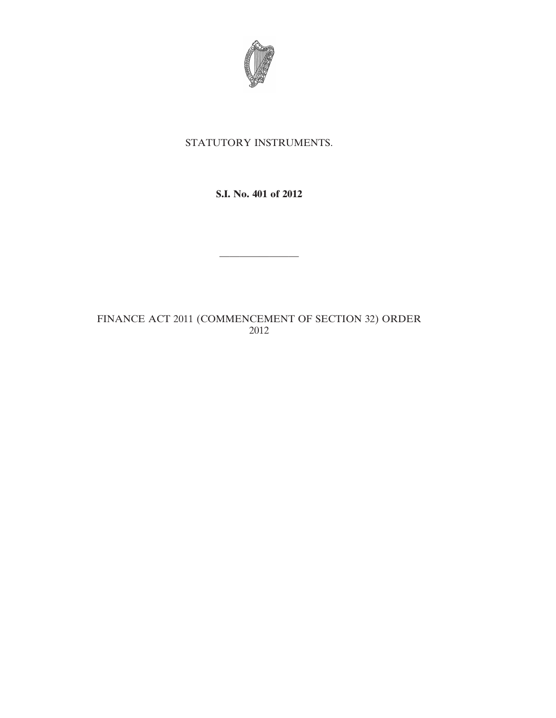

# STATUTORY INSTRUMENTS.

### **S.I. No. 401 of 2012**

————————

# FINANCE ACT 2011 (COMMENCEMENT OF SECTION 32) ORDER 2012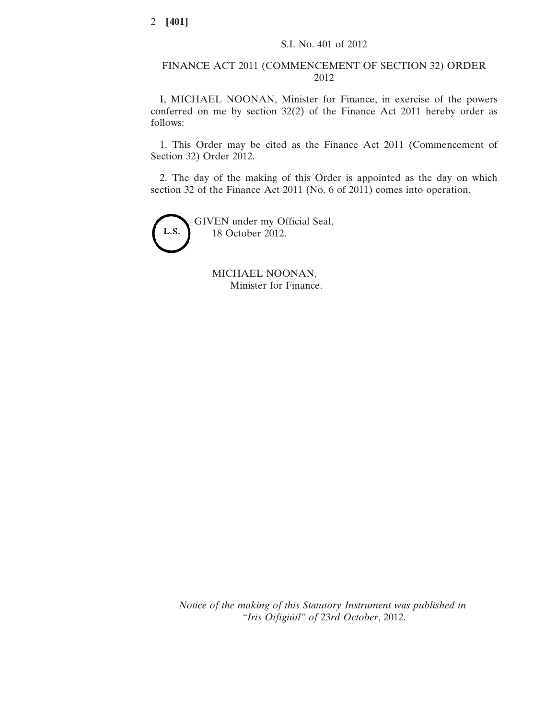#### FINANCE ACT 2011 (COMMENCEMENT OF SECTION 32) ORDER 2012

I, MICHAEL NOONAN, Minister for Finance, in exercise of the powers conferred on me by section 32(2) of the Finance Act 2011 hereby order as follows:

1. This Order may be cited as the Finance Act 2011 (Commencement of Section 32) Order 2012.

2. The day of the making of this Order is appointed as the day on which section 32 of the Finance Act 2011 (No. 6 of 2011) comes into operation.



MICHAEL NOONAN, Minister for Finance.

*Notice of the making of this Statutory Instrument was published in "Iris Oifigiúil" of* 23*rd October*, 2012.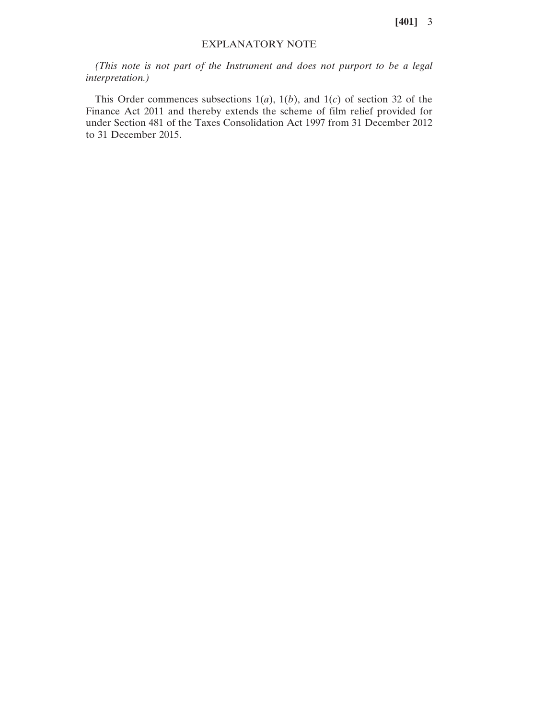**[401]** 3

#### EXPLANATORY NOTE

*(This note is not part of the Instrument and does not purport to be a legal interpretation.)*

This Order commences subsections  $1(a)$ ,  $1(b)$ , and  $1(c)$  of section 32 of the Finance Act 2011 and thereby extends the scheme of film relief provided for under Section 481 of the Taxes Consolidation Act 1997 from 31 December 2012 to 31 December 2015.